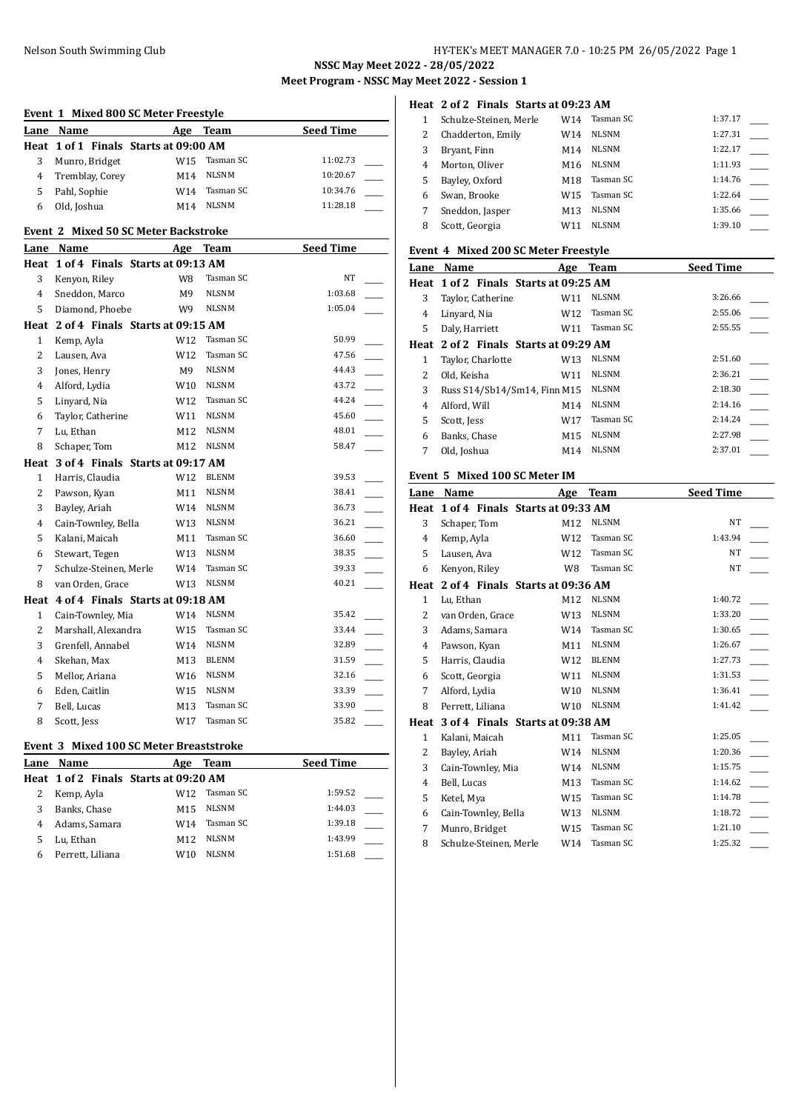# Nelson South Swimming Club HY-TEK's MEET MANAGER 7.0 - 10:25 PM 26/05/2022 Page 1

**NSSC May Meet 2022 - 28/05/2022**

**Meet Program - NSSC May Meet 2022 - Session 1**

## **Heat 2 of 2 Finals Starts at 09:23 AM**

|   | Schulze-Steinen, Merle | W14             | Tasman SC    | 1:37.17 |
|---|------------------------|-----------------|--------------|---------|
| 2 | Chadderton, Emily      | W14             | <b>NLSNM</b> | 1:27.31 |
| 3 | Bryant, Finn           | M14             | <b>NLSNM</b> | 1:22.17 |
| 4 | Morton, Oliver         | M16             | <b>NLSNM</b> | 1:11.93 |
| 5 | Bayley, Oxford         | M18             | Tasman SC    | 1:14.76 |
| 6 | Swan, Brooke           | W15             | Tasman SC    | 1:22.64 |
|   | Sneddon, Jasper        | M <sub>13</sub> | <b>NLSNM</b> | 1:35.66 |
| 8 | Scott, Georgia         | W11             | <b>NLSNM</b> | 1:39.10 |

### **Event 4 Mixed 200 SC Meter Freestyle**

| Lane | Name                                  | Age             | <b>Team</b>  | <b>Seed Time</b> |
|------|---------------------------------------|-----------------|--------------|------------------|
|      | Heat 1 of 2 Finals Starts at 09:25 AM |                 |              |                  |
| 3    | Taylor, Catherine                     | W11             | <b>NLSNM</b> | 3:26.66          |
| 4    | Linyard, Nia                          | W12             | Tasman SC    | 2:55.06          |
| 5    | Daly, Harriett                        | W11             | Tasman SC    | 2:55.55          |
|      | Heat 2 of 2 Finals Starts at 09:29 AM |                 |              |                  |
| 1    | Taylor, Charlotte                     | W <sub>13</sub> | <b>NLSNM</b> | 2:51.60          |
| 2    | Old, Keisha                           | W11             | <b>NLSNM</b> | 2:36.21          |
| 3    | Russ S14/Sb14/Sm14, Finn M15          |                 | <b>NLSNM</b> | 2:18.30          |
| 4    | Alford, Will                          | M14             | <b>NLSNM</b> | 2:14.16          |
| 5    | Scott, Jess                           | W17             | Tasman SC    | 2:14.24          |
| 6    | Banks, Chase                          | M15             | <b>NLSNM</b> | 2:27.98          |
| 7    | Old, Joshua                           | M14             | <b>NLSNM</b> | 2:37.01          |
|      |                                       |                 |              |                  |

## **Event 5 Mixed 100 SC Meter IM**

| Lane         | <b>Name</b>                      | Age             | Team         | <b>Seed Time</b> |  |
|--------------|----------------------------------|-----------------|--------------|------------------|--|
| Heat         | 1 of 4 Finals Starts at 09:33 AM |                 |              |                  |  |
| 3            | Schaper, Tom                     | M12             | <b>NLSNM</b> | NT               |  |
| 4            | Kemp, Ayla                       | W <sub>12</sub> | Tasman SC    | 1:43.94          |  |
| 5            | Lausen, Ava                      | W12             | Tasman SC    | NT               |  |
| 6            | Kenyon, Riley                    | W8              | Tasman SC    | NT               |  |
| Heat         | 2 of 4 Finals Starts at 09:36 AM |                 |              |                  |  |
| $\mathbf{1}$ | Lu, Ethan                        | M12             | <b>NLSNM</b> | 1:40.72          |  |
| 2            | van Orden, Grace                 | W13             | <b>NLSNM</b> | 1:33.20          |  |
| 3            | Adams, Samara                    | W14             | Tasman SC    | 1:30.65          |  |
| 4            | Pawson, Kyan                     | M11             | <b>NLSNM</b> | 1:26.67          |  |
| 5            | Harris, Claudia                  | W <sub>12</sub> | <b>BLENM</b> | 1:27.73          |  |
| 6            | Scott, Georgia                   | W11             | <b>NLSNM</b> | 1:31.53          |  |
| 7            | Alford, Lydia                    | W <sub>10</sub> | <b>NLSNM</b> | 1:36.41          |  |
| 8            | Perrett, Liliana                 | W <sub>10</sub> | <b>NLSNM</b> | 1:41.42          |  |
| Heat         | 3 of 4 Finals Starts at 09:38 AM |                 |              |                  |  |
| $\mathbf{1}$ | Kalani, Maicah                   | M11             | Tasman SC    | 1:25.05          |  |
| 2            | Bayley, Ariah                    | W14             | <b>NLSNM</b> | 1:20.36          |  |
| 3            | Cain-Townley, Mia                | W14             | <b>NLSNM</b> | 1:15.75          |  |
| 4            | Bell, Lucas                      | M13             | Tasman SC    | 1:14.62          |  |
| 5            | Ketel, Mya                       | W <sub>15</sub> | Tasman SC    | 1:14.78          |  |
| 6            | Cain-Townley, Bella              | W <sub>13</sub> | <b>NLSNM</b> | 1:18.72          |  |
| 7            | Munro, Bridget                   | W15             | Tasman SC    | 1:21.10          |  |
| 8            | Schulze-Steinen, Merle           | W14             | Tasman SC    | 1:25.32          |  |
|              |                                  |                 |              |                  |  |

| Event 1 Mixed 800 SC Meter Freestyle |                                             |                 |              |                  |  |
|--------------------------------------|---------------------------------------------|-----------------|--------------|------------------|--|
| Lane                                 | Name                                        |                 | Age Team     | <b>Seed Time</b> |  |
|                                      | Heat 1 of 1 Finals Starts at 09:00 AM       |                 |              |                  |  |
| 3                                    | Munro, Bridget                              | W <sub>15</sub> | Tasman SC    | 11:02.73         |  |
| 4                                    | Tremblay, Corey                             | M14             | <b>NLSNM</b> | 10:20.67         |  |
| 5                                    | Pahl, Sophie                                | W14             | Tasman SC    | 10:34.76         |  |
| 6                                    | Old, Joshua                                 | M14             | <b>NLSNM</b> | 11:28.18         |  |
|                                      | <b>Event 2 Mixed 50 SC Meter Backstroke</b> |                 |              |                  |  |
|                                      | Lane Name                                   |                 | Age Team     | Seed Time        |  |
|                                      | Heat 1 of 4 Finals Starts at 09:13 AM       |                 |              |                  |  |
| 3                                    | Kenyon, Riley                               | W8              | Tasman SC    | NT               |  |
| $\overline{4}$                       | Sneddon, Marco                              | M9              | <b>NLSNM</b> | 1:03.68          |  |
| 5                                    | Diamond. Phoebe                             | W9              | <b>NLSNM</b> | 1:05.04          |  |
|                                      | Heat 2 of 4 Finals Starts at 09:15 AM       |                 |              |                  |  |
| 1                                    | Kemp, Ayla                                  | W12             | Tasman SC    | 50.99            |  |
| $\overline{2}$                       | Lausen, Ava                                 | W12             | Tasman SC    | 47.56            |  |
| 3                                    | Jones, Henry                                | M9              | <b>NLSNM</b> | 44.43            |  |
| $\overline{4}$                       | Alford, Lydia                               |                 | W10 NLSNM    | 43.72            |  |
| 5                                    | Linyard, Nia                                | W <sub>12</sub> | Tasman SC    | 44.24            |  |
| 6                                    | Taylor, Catherine                           | W11             | <b>NLSNM</b> | 45.60            |  |
| 7                                    | Lu, Ethan                                   | M12             | <b>NLSNM</b> | 48.01            |  |
| 8                                    | Schaper, Tom                                | M12             | <b>NLSNM</b> | 58.47            |  |
|                                      | Heat 3 of 4 Finals Starts at 09:17 AM       |                 |              |                  |  |
| $\mathbf{1}$                         | Harris, Claudia                             | W12             | <b>BLENM</b> | 39.53            |  |
| $\overline{c}$                       | Pawson, Kyan                                | M11             | <b>NLSNM</b> | 38.41            |  |
| 3                                    | Bayley, Ariah                               | W14             | <b>NLSNM</b> | 36.73            |  |
| $\overline{4}$                       | Cain-Townley, Bella                         | W13             | <b>NLSNM</b> | 36.21            |  |
| 5                                    | Kalani, Maicah                              | M11             | Tasman SC    | 36.60            |  |
| 6                                    | Stewart, Tegen                              | W13             | NLSNM        | 38.35            |  |
| 7                                    | Schulze-Steinen, Merle                      | W14             | Tasman SC    | 39.33            |  |
| 8                                    | van Orden, Grace                            | W13             | <b>NLSNM</b> | 40.21            |  |
| Heat                                 | 4 of 4 Finals Starts at 09:18 AM            |                 |              |                  |  |
| 1                                    | Cain-Townley, Mia                           | W14             | <b>NLSNM</b> | 35.42            |  |
| 2                                    | Marshall, Alexandra                         | W15             | Tasman SC    | 33.44            |  |
| 3                                    | Grenfell, Annabel                           | W14             | <b>NLSNM</b> | 32.89            |  |
| 4                                    | Skehan, Max                                 | M13             | <b>BLENM</b> | 31.59            |  |
| 5                                    | Mellor, Ariana                              | W16             | <b>NLSNM</b> | 32.16            |  |
| 6                                    | Eden, Caitlin                               | W15             | <b>NLSNM</b> | 33.39            |  |
| 7                                    | Bell, Lucas                                 | M13             | Tasman SC    | 33.90            |  |
| 8                                    | Scott, Jess                                 | W17             | Tasman SC    | 35.82            |  |

## **Event 3 Mixed 100 SC Meter Breaststroke**

| Name             | Age             | Team      | <b>Seed Time</b>                      |
|------------------|-----------------|-----------|---------------------------------------|
|                  |                 |           |                                       |
| Kemp, Ayla       | W12.            | Tasman SC | 1:59.52                               |
| Banks, Chase     | M15             | NLSNM     | 1:44.03                               |
| Adams, Samara    | W14             | Tasman SC | 1:39.18                               |
| Lu, Ethan        | M <sub>12</sub> | NLSNM     | 1:43.99                               |
| Perrett, Liliana | W10             | NLSNM     | 1:51.68                               |
|                  |                 |           | Heat 1 of 2 Finals Starts at 09:20 AM |